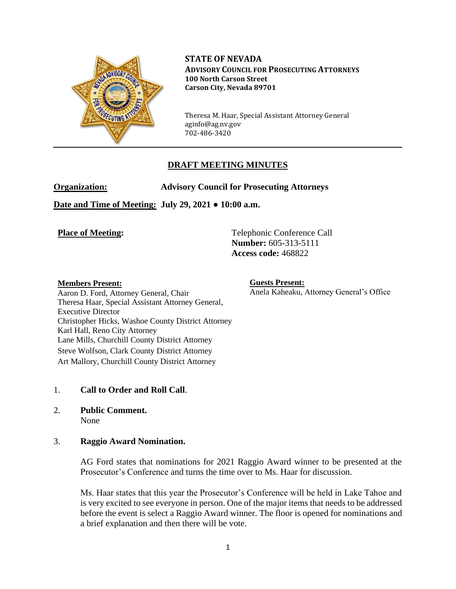

**STATE OF NEVADA ADVISORY COUNCIL FOR PROSECUTING ATTORNEYS 100 North Carson Street Carson City, Nevada 89701**

Theresa M. Haar, Special Assistant Attorney General aginfo@ag.nv.gov 702-486-3420

# **DRAFT MEETING MINUTES**

**Organization: Advisory Council for Prosecuting Attorneys**

**Date and Time of Meeting: July 29, 2021 ● 10:00 a.m.**

**Place of Meeting:** Telephonic Conference Call **Number:** 605-313-5111 **Access code:** 468822

### **Members Present:**

**Guests Present:** Anela Kaheaku, Attorney General's Office

Aaron D. Ford, Attorney General, Chair Theresa Haar, Special Assistant Attorney General, Executive Director Christopher Hicks, Washoe County District Attorney Karl Hall, Reno City Attorney Lane Mills, Churchill County District Attorney Steve Wolfson, Clark County District Attorney Art Mallory, Churchill County District Attorney

## 1. **Call to Order and Roll Call**.

2. **Public Comment.** None

## 3. **Raggio Award Nomination.**

AG Ford states that nominations for 2021 Raggio Award winner to be presented at the Prosecutor's Conference and turns the time over to Ms. Haar for discussion.

Ms. Haar states that this year the Prosecutor's Conference will be held in Lake Tahoe and is very excited to see everyone in person. One of the major items that needs to be addressed before the event is select a Raggio Award winner. The floor is opened for nominations and a brief explanation and then there will be vote.